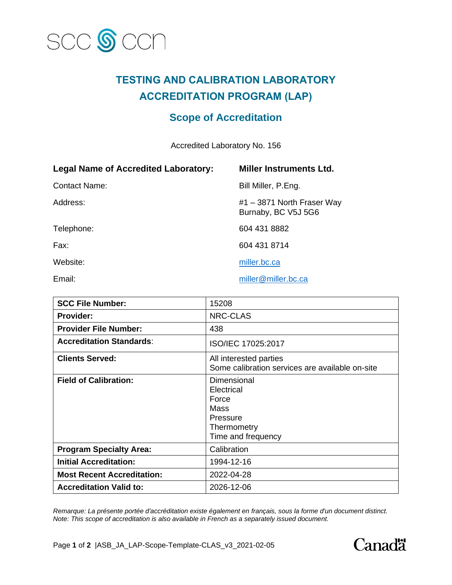

## **TESTING AND CALIBRATION LABORATORY ACCREDITATION PROGRAM (LAP)**

## **Scope of Accreditation**

Accredited Laboratory No. 156

| <b>Legal Name of Accredited Laboratory:</b> | <b>Miller Instruments Ltd.</b>                    |
|---------------------------------------------|---------------------------------------------------|
| <b>Contact Name:</b>                        | Bill Miller, P.Eng.                               |
| Address:                                    | #1 – 3871 North Fraser Way<br>Burnaby, BC V5J 5G6 |
| Telephone:                                  | 604 431 8882                                      |
| Fax:                                        | 604 431 8714                                      |
| Website:                                    | miller.bc.ca                                      |
| Email:                                      | miller@miller.bc.ca                               |

| <b>SCC File Number:</b>           | 15208                                                                                       |
|-----------------------------------|---------------------------------------------------------------------------------------------|
| <b>Provider:</b>                  | <b>NRC-CLAS</b>                                                                             |
| <b>Provider File Number:</b>      | 438                                                                                         |
| <b>Accreditation Standards:</b>   | ISO/IEC 17025:2017                                                                          |
| <b>Clients Served:</b>            | All interested parties<br>Some calibration services are available on-site                   |
| <b>Field of Calibration:</b>      | Dimensional<br>Electrical<br>Force<br>Mass<br>Pressure<br>Thermometry<br>Time and frequency |
| <b>Program Specialty Area:</b>    | Calibration                                                                                 |
| <b>Initial Accreditation:</b>     | 1994-12-16                                                                                  |
| <b>Most Recent Accreditation:</b> | 2022-04-28                                                                                  |
| <b>Accreditation Valid to:</b>    | 2026-12-06                                                                                  |

*Remarque: La présente portée d'accréditation existe également en français, sous la forme d'un document distinct. Note: This scope of accreditation is also available in French as a separately issued document.*